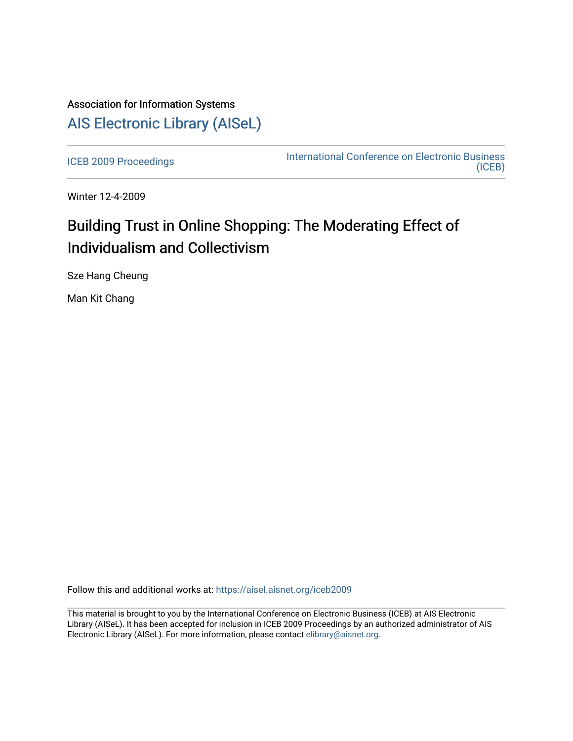# Association for Information Systems [AIS Electronic Library \(AISeL\)](https://aisel.aisnet.org/)

[ICEB 2009 Proceedings](https://aisel.aisnet.org/iceb2009) **International Conference on Electronic Business** [\(ICEB\)](https://aisel.aisnet.org/iceb) 

Winter 12-4-2009

# Building Trust in Online Shopping: The Moderating Effect of Individualism and Collectivism

Sze Hang Cheung

Man Kit Chang

Follow this and additional works at: [https://aisel.aisnet.org/iceb2009](https://aisel.aisnet.org/iceb2009?utm_source=aisel.aisnet.org%2Ficeb2009%2F73&utm_medium=PDF&utm_campaign=PDFCoverPages)

This material is brought to you by the International Conference on Electronic Business (ICEB) at AIS Electronic Library (AISeL). It has been accepted for inclusion in ICEB 2009 Proceedings by an authorized administrator of AIS Electronic Library (AISeL). For more information, please contact [elibrary@aisnet.org.](mailto:elibrary@aisnet.org%3E)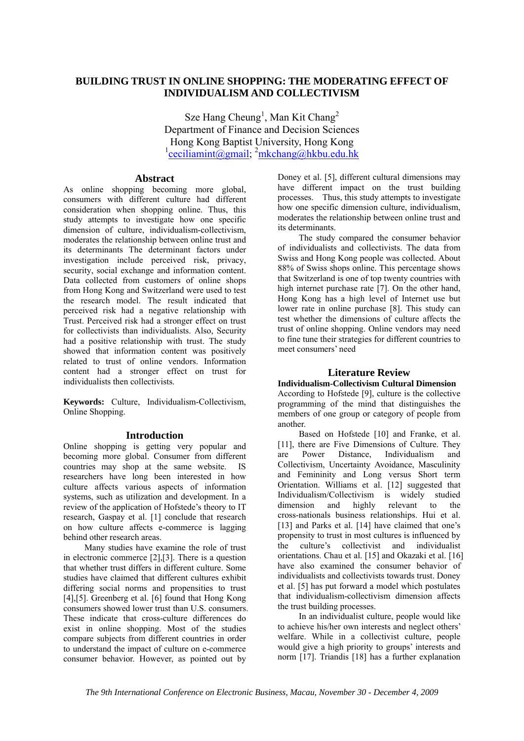# **BUILDING TRUST IN ONLINE SHOPPING: THE MODERATING EFFECT OF INDIVIDUALISM AND COLLECTIVISM**

Sze Hang Cheung<sup>1</sup>, Man Kit Chang<sup>2</sup> Department of Finance and Decision Sciences Hong Kong Baptist University, Hong Kong <sup>1</sup>ceciliamint@gmail; <sup>2</sup>mkchang@hkbu.edu.hk

# **Abstract**

As online shopping becoming more global, consumers with different culture had different consideration when shopping online. Thus, this study attempts to investigate how one specific dimension of culture, individualism-collectivism, moderates the relationship between online trust and its determinants The determinant factors under investigation include perceived risk, privacy, security, social exchange and information content. Data collected from customers of online shops from Hong Kong and Switzerland were used to test the research model. The result indicated that perceived risk had a negative relationship with Trust. Perceived risk had a stronger effect on trust for collectivists than individualists. Also, Security had a positive relationship with trust. The study showed that information content was positively related to trust of online vendors. Information content had a stronger effect on trust for individualists then collectivists.

**Keywords:** Culture, Individualism-Collectivism, Online Shopping.

#### **Introduction**

Online shopping is getting very popular and becoming more global. Consumer from different countries may shop at the same website. IS researchers have long been interested in how culture affects various aspects of information systems, such as utilization and development. In a review of the application of Hofstede's theory to IT research, Gaspay et al. [1] conclude that research on how culture affects e-commerce is lagging behind other research areas.

Many studies have examine the role of trust in electronic commerce [2],[3]. There is a question that whether trust differs in different culture. Some studies have claimed that different cultures exhibit differing social norms and propensities to trust [4],[5]. Greenberg et al. [6] found that Hong Kong consumers showed lower trust than U.S. consumers. These indicate that cross-culture differences do exist in online shopping. Most of the studies compare subjects from different countries in order to understand the impact of culture on e-commerce consumer behavior. However, as pointed out by

Doney et al. [5], different cultural dimensions may have different impact on the trust building processes. Thus, this study attempts to investigate how one specific dimension culture, individualism, moderates the relationship between online trust and its determinants.

The study compared the consumer behavior of individualists and collectivists. The data from Swiss and Hong Kong people was collected. About 88% of Swiss shops online. This percentage shows that Switzerland is one of top twenty countries with high internet purchase rate [7]. On the other hand, Hong Kong has a high level of Internet use but lower rate in online purchase [8]. This study can test whether the dimensions of culture affects the trust of online shopping. Online vendors may need to fine tune their strategies for different countries to meet consumers' need

### **Literature Review**

**Individualism-Collectivism Cultural Dimension**  According to Hofstede [9], culture is the collective programming of the mind that distinguishes the members of one group or category of people from another.

Based on Hofstede [10] and Franke, et al. [11], there are Five Dimensions of Culture. They are Power Distance, Individualism and Collectivism, Uncertainty Avoidance, Masculinity and Femininity and Long versus Short term Orientation. Williams et al. [12] suggested that Individualism/Collectivism is widely studied dimension and highly relevant to the cross-nationals business relationships. Hui et al. [13] and Parks et al. [14] have claimed that one's propensity to trust in most cultures is influenced by the culture's collectivist and individualist orientations. Chau et al. [15] and Okazaki et al. [16] have also examined the consumer behavior of individualists and collectivists towards trust. Doney et al. [5] has put forward a model which postulates that individualism-collectivism dimension affects the trust building processes.

In an individualist culture, people would like to achieve his/her own interests and neglect others' welfare. While in a collectivist culture, people would give a high priority to groups' interests and norm [17]. Triandis [18] has a further explanation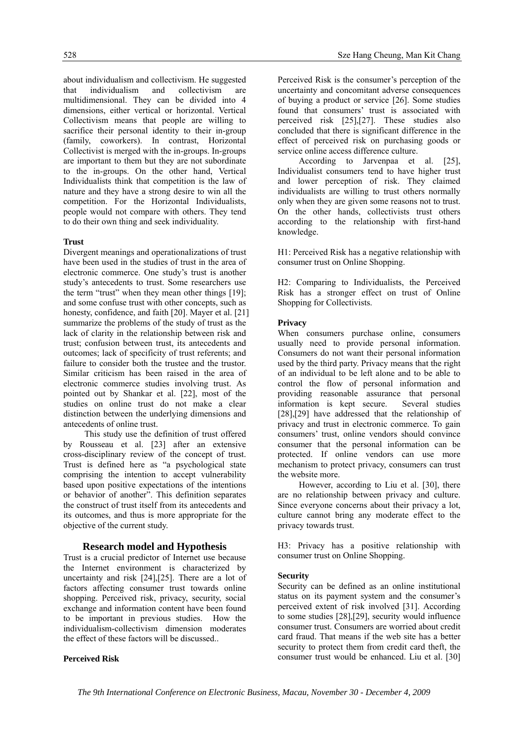about individualism and collectivism. He suggested that individualism and collectivism are multidimensional. They can be divided into 4 dimensions, either vertical or horizontal. Vertical Collectivism means that people are willing to sacrifice their personal identity to their in-group (family, coworkers). In contrast, Horizontal Collectivist is merged with the in-groups. In-groups are important to them but they are not subordinate to the in-groups. On the other hand, Vertical Individualists think that competition is the law of nature and they have a strong desire to win all the competition. For the Horizontal Individualists, people would not compare with others. They tend to do their own thing and seek individuality.

#### **Trust**

Divergent meanings and operationalizations of trust have been used in the studies of trust in the area of electronic commerce. One study's trust is another study's antecedents to trust. Some researchers use the term "trust" when they mean other things [19]; and some confuse trust with other concepts, such as honesty, confidence, and faith [20]. Mayer et al. [21]. summarize the problems of the study of trust as the lack of clarity in the relationship between risk and trust; confusion between trust, its antecedents and outcomes; lack of specificity of trust referents; and failure to consider both the trustee and the trustor. Similar criticism has been raised in the area of electronic commerce studies involving trust. As pointed out by Shankar et al. [22], most of the studies on online trust do not make a clear distinction between the underlying dimensions and antecedents of online trust.

This study use the definition of trust offered by Rousseau et al. [23] after an extensive cross-disciplinary review of the concept of trust. Trust is defined here as "a psychological state comprising the intention to accept vulnerability based upon positive expectations of the intentions or behavior of another". This definition separates the construct of trust itself from its antecedents and its outcomes, and thus is more appropriate for the objective of the current study.

#### **Research model and Hypothesis**

Trust is a crucial predictor of Internet use because the Internet environment is characterized by uncertainty and risk [24],[25]. There are a lot of factors affecting consumer trust towards online shopping. Perceived risk, privacy, security, social exchange and information content have been found to be important in previous studies. How the individualism-collectivism dimension moderates the effect of these factors will be discussed..

#### **Perceived Risk**

Perceived Risk is the consumer's perception of the uncertainty and concomitant adverse consequences of buying a product or service [26]. Some studies found that consumers' trust is associated with perceived risk [25],[27]. These studies also concluded that there is significant difference in the effect of perceived risk on purchasing goods or service online access difference culture.

According to Jarvenpaa et al. [25], Individualist consumers tend to have higher trust and lower perception of risk. They claimed individualists are willing to trust others normally only when they are given some reasons not to trust. On the other hands, collectivists trust others according to the relationship with first-hand knowledge.

H1: Perceived Risk has a negative relationship with consumer trust on Online Shopping.

H2: Comparing to Individualists, the Perceived Risk has a stronger effect on trust of Online Shopping for Collectivists.

#### **Privacy**

When consumers purchase online, consumers usually need to provide personal information. Consumers do not want their personal information used by the third party. Privacy means that the right of an individual to be left alone and to be able to control the flow of personal information and providing reasonable assurance that personal information is kept secure. Several studies [28],[29] have addressed that the relationship of privacy and trust in electronic commerce. To gain consumers' trust, online vendors should convince consumer that the personal information can be protected. If online vendors can use more mechanism to protect privacy, consumers can trust the website more.

However, according to Liu et al. [30], there are no relationship between privacy and culture. Since everyone concerns about their privacy a lot, culture cannot bring any moderate effect to the privacy towards trust.

H3: Privacy has a positive relationship with consumer trust on Online Shopping.

#### **Security**

Security can be defined as an online institutional status on its payment system and the consumer's perceived extent of risk involved [31]. According to some studies [28],[29], security would influence consumer trust. Consumers are worried about credit card fraud. That means if the web site has a better security to protect them from credit card theft, the consumer trust would be enhanced. Liu et al. [30]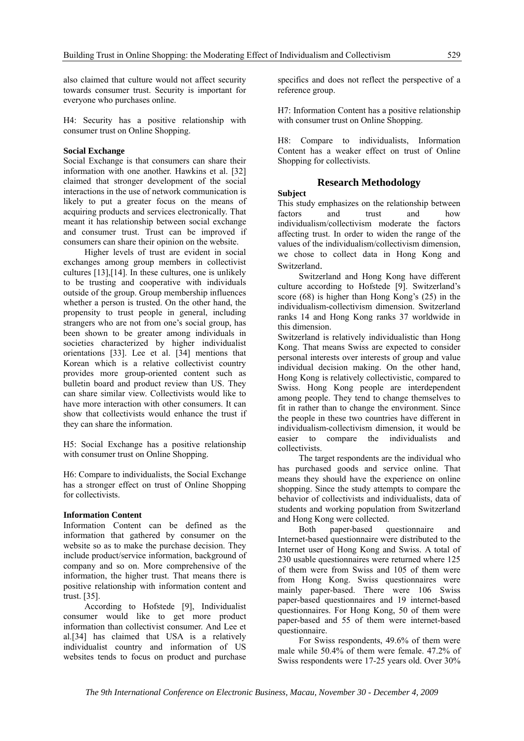also claimed that culture would not affect security towards consumer trust. Security is important for everyone who purchases online.

H4: Security has a positive relationship with consumer trust on Online Shopping.

#### **Social Exchange**

Social Exchange is that consumers can share their information with one another. Hawkins et al. [32] claimed that stronger development of the social interactions in the use of network communication is likely to put a greater focus on the means of acquiring products and services electronically. That meant it has relationship between social exchange and consumer trust. Trust can be improved if consumers can share their opinion on the website.

Higher levels of trust are evident in social exchanges among group members in collectivist cultures [13],[14]. In these cultures, one is unlikely to be trusting and cooperative with individuals outside of the group. Group membership influences whether a person is trusted. On the other hand, the propensity to trust people in general, including strangers who are not from one's social group, has been shown to be greater among individuals in societies characterized by higher individualist orientations [33]. Lee et al. [34] mentions that Korean which is a relative collectivist country provides more group-oriented content such as bulletin board and product review than US. They can share similar view. Collectivists would like to have more interaction with other consumers. It can show that collectivists would enhance the trust if they can share the information.

H5: Social Exchange has a positive relationship with consumer trust on Online Shopping.

H6: Compare to individualists, the Social Exchange has a stronger effect on trust of Online Shopping for collectivists.

#### **Information Content**

Information Content can be defined as the information that gathered by consumer on the website so as to make the purchase decision. They include product/service information, background of company and so on. More comprehensive of the information, the higher trust. That means there is positive relationship with information content and trust. [35].

According to Hofstede [9], Individualist consumer would like to get more product information than collectivist consumer. And Lee et al.[34] has claimed that USA is a relatively individualist country and information of US websites tends to focus on product and purchase

specifics and does not reflect the perspective of a reference group.

H7: Information Content has a positive relationship with consumer trust on Online Shopping.

H8: Compare to individualists, Information Content has a weaker effect on trust of Online Shopping for collectivists.

# **Research Methodology**

#### **Subject**

This study emphasizes on the relationship between factors and trust and how individualism/collectivism moderate the factors affecting trust. In order to widen the range of the values of the individualism/collectivism dimension, we chose to collect data in Hong Kong and

Switzerland. Switzerland and Hong Kong have different culture according to Hofstede [9]. Switzerland's score (68) is higher than Hong Kong's (25) in the individualism-collectivism dimension. Switzerland ranks 14 and Hong Kong ranks 37 worldwide in this dimension.

Switzerland is relatively individualistic than Hong Kong. That means Swiss are expected to consider personal interests over interests of group and value individual decision making. On the other hand, Hong Kong is relatively collectivistic, compared to Swiss. Hong Kong people are interdependent among people. They tend to change themselves to fit in rather than to change the environment. Since the people in these two countries have different in individualism-collectivism dimension, it would be easier to compare the individualists and collectivists.

The target respondents are the individual who has purchased goods and service online. That means they should have the experience on online shopping. Since the study attempts to compare the behavior of collectivists and individualists, data of students and working population from Switzerland and Hong Kong were collected.

Both paper-based questionnaire and Internet-based questionnaire were distributed to the Internet user of Hong Kong and Swiss. A total of 230 usable questionnaires were returned where 125 of them were from Swiss and 105 of them were from Hong Kong. Swiss questionnaires were mainly paper-based. There were 106 Swiss paper-based questionnaires and 19 internet-based questionnaires. For Hong Kong, 50 of them were paper-based and 55 of them were internet-based questionnaire.

For Swiss respondents, 49.6% of them were male while 50.4% of them were female. 47.2% of Swiss respondents were 17-25 years old. Over 30%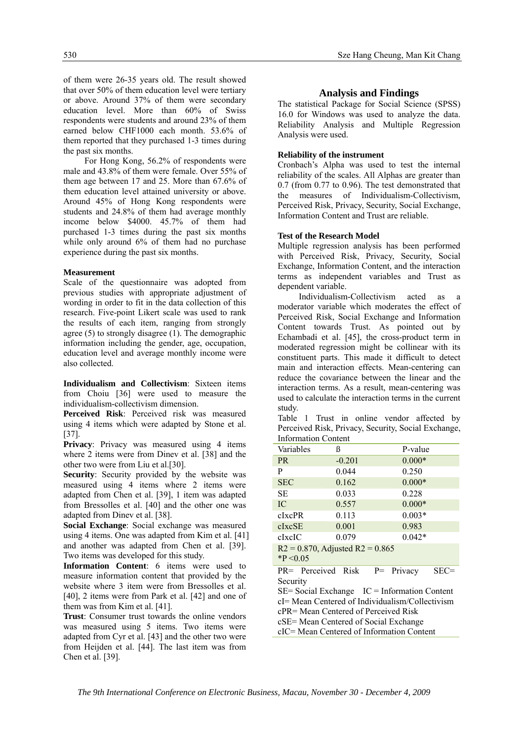of them were 26-35 years old. The result showed that over 50% of them education level were tertiary or above. Around 37% of them were secondary education level. More than 60% of Swiss respondents were students and around 23% of them earned below CHF1000 each month. 53.6% of them reported that they purchased 1-3 times during the past six months.

For Hong Kong, 56.2% of respondents were male and 43.8% of them were female. Over 55% of them age between 17 and 25. More than 67.6% of them education level attained university or above. Around 45% of Hong Kong respondents were students and 24.8% of them had average monthly income below \$4000. 45.7% of them had purchased 1-3 times during the past six months while only around 6% of them had no purchase experience during the past six months.

#### **Measurement**

Scale of the questionnaire was adopted from previous studies with appropriate adjustment of wording in order to fit in the data collection of this research. Five-point Likert scale was used to rank the results of each item, ranging from strongly agree (5) to strongly disagree (1). The demographic information including the gender, age, occupation, education level and average monthly income were also collected.

**Individualism and Collectivism**: Sixteen items from Choiu [36] were used to measure the individualism-collectivism dimension.

**Perceived Risk**: Perceived risk was measured using 4 items which were adapted by Stone et al. [37].

**Privacy**: Privacy was measured using 4 items where 2 items were from Dinev et al. [38] and the other two were from Liu et al.[30].

**Security**: Security provided by the website was measured using 4 items where 2 items were adapted from Chen et al. [39], 1 item was adapted from Bressolles et al. [40] and the other one was adapted from Dinev et al. [38].

**Social Exchange**: Social exchange was measured using 4 items. One was adapted from Kim et al. [41] and another was adapted from Chen et al. [39]. Two items was developed for this study.

**Information Content**: 6 items were used to measure information content that provided by the website where 3 item were from Bressolles et al. [40], 2 items were from Park et al. [42] and one of them was from Kim et al. [41].

**Trust**: Consumer trust towards the online vendors was measured using 5 items. Two items were adapted from Cyr et al. [43] and the other two were from Heijden et al. [44]. The last item was from Chen et al. [39].

#### 530 Sze Hang Cheung, Man Kit Chang

#### **Analysis and Findings**

The statistical Package for Social Science (SPSS) 16.0 for Windows was used to analyze the data. Reliability Analysis and Multiple Regression Analysis were used.

#### **Reliability of the instrument**

Cronbach's Alpha was used to test the internal reliability of the scales. All Alphas are greater than 0.7 (from 0.77 to 0.96). The test demonstrated that the measures of Individualism-Collectivism, Perceived Risk, Privacy, Security, Social Exchange, Information Content and Trust are reliable.

#### **Test of the Research Model**

Multiple regression analysis has been performed with Perceived Risk, Privacy, Security, Social Exchange, Information Content, and the interaction terms as independent variables and Trust as dependent variable.

Individualism-Collectivism acted as a moderator variable which moderates the effect of Perceived Risk, Social Exchange and Information Content towards Trust. As pointed out by Echambadi et al. [45], the cross-product term in moderated regression might be collinear with its constituent parts. This made it difficult to detect main and interaction effects. Mean-centering can reduce the covariance between the linear and the interaction terms. As a result, mean-centering was used to calculate the interaction terms in the current study.

Table 1 Trust in online vendor affected by Perceived Risk, Privacy, Security, Social Exchange, Information Content

| Variables                                           | ß        | P-value  |      |
|-----------------------------------------------------|----------|----------|------|
| <b>PR</b>                                           | $-0.201$ | $0.000*$ |      |
| P                                                   | 0.044    | 0.250    |      |
| <b>SEC</b>                                          | 0.162    | $0.000*$ |      |
| SE                                                  | 0.033    | 0.228    |      |
| IC.                                                 | 0.557    | $0.000*$ |      |
| <b>cIxcPR</b>                                       | 0.113    | $0.003*$ |      |
| cIxcSE                                              | 0.001    | 0.983    |      |
| clxclC                                              | 0.079    | $0.042*$ |      |
| $R2 = 0.870$ , Adjusted $R2 = 0.865$<br>$*P < 0.05$ |          |          |      |
| PR= Perceived Risk P= Privacy<br>Security           |          |          | SEC= |
| $SE = Social Exchange$ $IC = Information Content$   |          |          |      |
| cI= Mean Centered of Individualism/Collectivism     |          |          |      |
| cPR= Mean Centered of Perceived Risk                |          |          |      |
| cSE= Mean Centered of Social Exchange               |          |          |      |
| cIC= Mean Centered of Information Content           |          |          |      |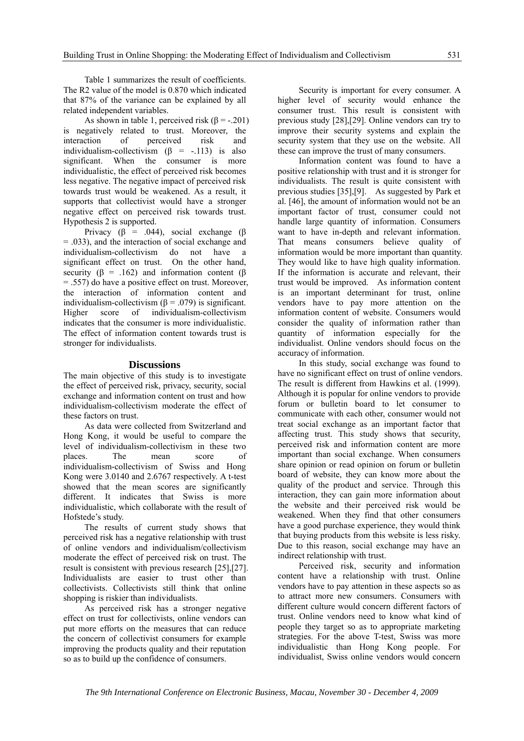Table 1 summarizes the result of coefficients. The R2 value of the model is 0.870 which indicated that 87% of the variance can be explained by all related independent variables.

As shown in table 1, perceived risk  $(\beta = -0.201)$ is negatively related to trust. Moreover, the interaction of perceived risk and individualism-collectivism  $(B = -113)$  is also significant. When the consumer is more individualistic, the effect of perceived risk becomes less negative. The negative impact of perceived risk towards trust would be weakened. As a result, it supports that collectivist would have a stronger negative effect on perceived risk towards trust. Hypothesis 2 is supported.

Privacy ( $\beta$  = .044), social exchange ( $\beta$ = .033), and the interaction of social exchange and individualism-collectivism do not have a significant effect on trust. On the other hand, security ( $\beta$  = .162) and information content ( $\beta$ ) = .557) do have a positive effect on trust. Moreover, the interaction of information content and individualism-collectivism ( $\beta$  = .079) is significant. Higher score of individualism-collectivism indicates that the consumer is more individualistic. The effect of information content towards trust is stronger for individualists.

#### **Discussions**

The main objective of this study is to investigate the effect of perceived risk, privacy, security, social exchange and information content on trust and how individualism-collectivism moderate the effect of these factors on trust.

As data were collected from Switzerland and Hong Kong, it would be useful to compare the level of individualism-collectivism in these two places. The mean score of individualism-collectivism of Swiss and Hong Kong were 3.0140 and 2.6767 respectively. A t-test showed that the mean scores are significantly different. It indicates that Swiss is more individualistic, which collaborate with the result of Hofstede's study.

The results of current study shows that perceived risk has a negative relationship with trust of online vendors and individualism/collectivism moderate the effect of perceived risk on trust. The result is consistent with previous research [25],[27]. Individualists are easier to trust other than collectivists. Collectivists still think that online shopping is riskier than individualists.

As perceived risk has a stronger negative effect on trust for collectivists, online vendors can put more efforts on the measures that can reduce the concern of collectivist consumers for example improving the products quality and their reputation so as to build up the confidence of consumers.

Security is important for every consumer. A higher level of security would enhance the consumer trust. This result is consistent with previous study [28],[29]. Online vendors can try to improve their security systems and explain the security system that they use on the website. All these can improve the trust of many consumers.

Information content was found to have a positive relationship with trust and it is stronger for individualists. The result is quite consistent with previous studies [35],[9]. As suggested by Park et al. [46], the amount of information would not be an important factor of trust, consumer could not handle large quantity of information. Consumers want to have in-depth and relevant information. That means consumers believe quality of information would be more important than quantity. They would like to have high quality information. If the information is accurate and relevant, their trust would be improved. As information content is an important determinant for trust, online vendors have to pay more attention on the information content of website. Consumers would consider the quality of information rather than quantity of information especially for the individualist. Online vendors should focus on the accuracy of information.

In this study, social exchange was found to have no significant effect on trust of online vendors. The result is different from Hawkins et al. (1999). Although it is popular for online vendors to provide forum or bulletin board to let consumer to communicate with each other, consumer would not treat social exchange as an important factor that affecting trust. This study shows that security, perceived risk and information content are more important than social exchange. When consumers share opinion or read opinion on forum or bulletin board of website, they can know more about the quality of the product and service. Through this interaction, they can gain more information about the website and their perceived risk would be weakened. When they find that other consumers have a good purchase experience, they would think that buying products from this website is less risky. Due to this reason, social exchange may have an indirect relationship with trust.

Perceived risk, security and information content have a relationship with trust. Online vendors have to pay attention in these aspects so as to attract more new consumers. Consumers with different culture would concern different factors of trust. Online vendors need to know what kind of people they target so as to appropriate marketing strategies. For the above T-test, Swiss was more individualistic than Hong Kong people. For individualist, Swiss online vendors would concern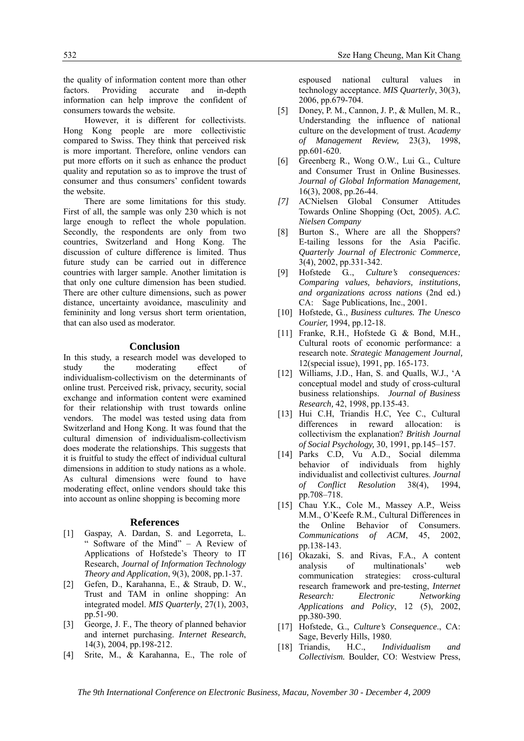the quality of information content more than other factors. Providing accurate and in-depth information can help improve the confident of consumers towards the website.

However, it is different for collectivists. Hong Kong people are more collectivistic compared to Swiss. They think that perceived risk is more important. Therefore, online vendors can put more efforts on it such as enhance the product quality and reputation so as to improve the trust of consumer and thus consumers' confident towards the website.

There are some limitations for this study. First of all, the sample was only 230 which is not large enough to reflect the whole population. Secondly, the respondents are only from two countries, Switzerland and Hong Kong. The discussion of culture difference is limited. Thus future study can be carried out in difference countries with larger sample. Another limitation is that only one culture dimension has been studied. There are other culture dimensions, such as power distance, uncertainty avoidance, masculinity and femininity and long versus short term orientation, that can also used as moderator.

# **Conclusion**

In this study, a research model was developed to study the moderating effect of individualism-collectivism on the determinants of online trust. Perceived risk, privacy, security, social exchange and information content were examined for their relationship with trust towards online vendors. The model was tested using data from Switzerland and Hong Kong. It was found that the cultural dimension of individualism-collectivism does moderate the relationships. This suggests that it is fruitful to study the effect of individual cultural dimensions in addition to study nations as a whole. As cultural dimensions were found to have moderating effect, online vendors should take this into account as online shopping is becoming more

#### **References**

- [1] Gaspay, A. Dardan, S. and Legorreta, L. Software of the Mind" - A Review of Applications of Hofstede's Theory to IT Research, *Journal of Information Technology Theory and Application*, 9(3), 2008, pp.1-37.
- [2] Gefen, D., Karahanna, E., & Straub, D. W., Trust and TAM in online shopping: An integrated model. *MIS Quarterly*, 27(1), 2003, pp.51-90.
- [3] George, J. F., The theory of planned behavior and internet purchasing. *Internet Research*, 14(3), 2004, pp.198-212.
- [4] Srite, M., & Karahanna, E., The role of

espoused national cultural values in technology acceptance. *MIS Quarterly*, 30(3), 2006, pp.679-704.

- [5] Doney, P. M., Cannon, J. P., & Mullen, M. R., Understanding the influence of national culture on the development of trust. *Academy of Management Review,* 23(3), 1998, pp.601-620.
- [6] Greenberg R., Wong O.W., Lui G.., Culture and Consumer Trust in Online Businesses. *Journal of Global Information Management,* 16(3), 2008, pp.26-44.
- *[7]* ACNielsen Global Consumer Attitudes Towards Online Shopping (Oct, 2005). *A.C. Nielsen Company*
- [8] Burton S., Where are all the Shoppers? E-tailing lessons for the Asia Pacific. *Quarterly Journal of Electronic Commerce,* 3(4), 2002, pp.331-342.
- [9] Hofstede G.., *Culture's consequences: Comparing values, behaviors, institutions, and organizations across nations* (2nd ed.) CA: Sage Publications, Inc., 2001.
- [10] Hofstede, G.., *Business cultures. The Unesco Courier,* 1994, pp.12-18.
- [11] Franke, R.H., Hofstede G. & Bond, M.H., Cultural roots of economic performance: a research note. *Strategic Management Journal,* 12(special issue), 1991, pp. 165-173.
- [12] Williams, J.D., Han, S. and Oualls, W.J., 'A conceptual model and study of cross-cultural business relationships. *Journal of Business Research,* 42, 1998, pp.135-43.
- [13] Hui C.H, Triandis H.C, Yee C., Cultural differences in reward allocation: is collectivism the explanation? *British Journal of Social Psychology,* 30, 1991, pp.145–157.
- [14] Parks C.D, Vu A.D., Social dilemma behavior of individuals from highly individualist and collectivist cultures. *Journal of Conflict Resolution* 38(4), 1994, pp.708–718.
- [15] Chau Y.K., Cole M., Massey A.P., Weiss M.M., O'Keefe R.M., Cultural Differences in the Online Behavior of Consumers. *Communications of ACM*, 45, 2002, pp.138-143.
- [16] Okazaki, S. and Rivas, F.A., A content analysis of multinationals' web communication strategies: cross-cultural research framework and pre-testing, *Internet Research: Electronic Networking Applications and Policy*, 12 (5), 2002, pp.380-390.
- [17] Hofstede, G.., *Culture's Consequence*., CA: Sage, Beverly Hills, 1980.
- [18] Triandis, H.C., *Individualism and Collectivism.* Boulder, CO: Westview Press,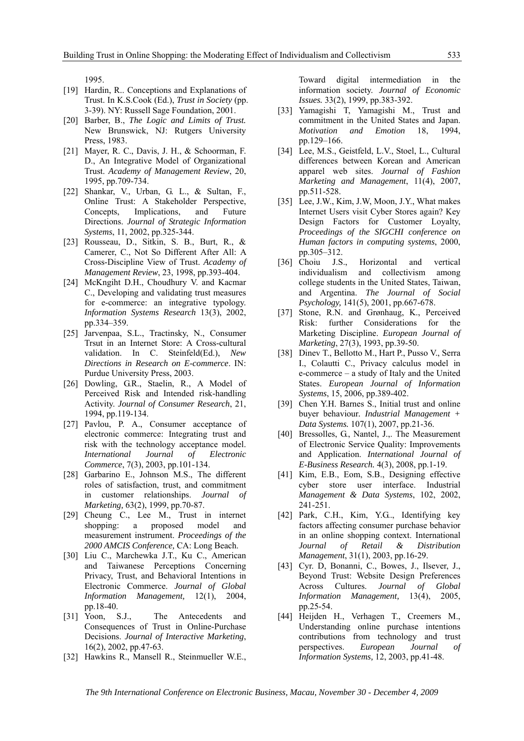1995.

- [19] Hardin, R.. Conceptions and Explanations of Trust. In K.S.Cook (Ed.), *Trust in Society* (pp. 3-39). NY: Russell Sage Foundation, 2001.
- [20] Barber, B., *The Logic and Limits of Trust.* New Brunswick, NJ: Rutgers University Press, 1983.
- [21] Mayer, R. C., Davis, J. H., & Schoorman, F. D., An Integrative Model of Organizational Trust. *Academy of Management Review*, 20, 1995, pp.709-734.
- [22] Shankar, V., Urban, G. L., & Sultan, F., Online Trust: A Stakeholder Perspective, Concepts, Implications, and Future Directions. *Journal of Strategic Information Systems*, 11, 2002, pp.325-344.
- [23] Rousseau, D., Sitkin, S. B., Burt, R., & Camerer, C., Not So Different After All: A Cross-Discipline View of Trust. *Academy of Management Review*, 23, 1998, pp.393-404.
- [24] McKngiht D.H., Choudhury V. and Kacmar C., Developing and validating trust measures for e-commerce: an integrative typology. *Information Systems Research* 13(3), 2002, pp.334–359.
- [25] Jarvenpaa, S.L., Tractinsky, N., Consumer Trsut in an Internet Store: A Cross-cultural validation. In C. Steinfeld(Ed.), *New Directions in Research on E-commerce*. IN: Purdue University Press, 2003.
- [26] Dowling, G.R., Staelin, R., A Model of Perceived Risk and Intended risk-handling Activity. *Journal of Consumer Research*, 21, 1994, pp.119-134.
- [27] Pavlou, P. A., Consumer acceptance of electronic commerce: Integrating trust and risk with the technology acceptance model. *International Journal of Electronic Commerce*, 7(3), 2003, pp.101-134.
- [28] Garbarino E., Johnson M.S., The different roles of satisfaction, trust, and commitment in customer relationships. *Journal of Marketing,* 63(2), 1999, pp.70-87.
- [29] Cheung C., Lee M., Trust in internet shopping: a proposed model and measurement instrument. *Proceedings of the 2000 AMCIS Conference,* CA: Long Beach.
- [30] Liu C., Marchewka J.T., Ku C., American and Taiwanese Perceptions Concerning Privacy, Trust, and Behavioral Intentions in Electronic Commerce. *Journal of Global Information Management,* 12(1), 2004, pp.18-40.
- [31] Yoon, S.J., The Antecedents and Consequences of Trust in Online-Purchase Decisions. *Journal of Interactive Marketing*, 16(2), 2002, pp.47-63.
- [32] Hawkins R., Mansell R., Steinmueller W.E.,

Toward digital intermediation in the information society. *Journal of Economic Issues.* 33(2), 1999, pp.383-392.

- [33] Yamagishi T, Yamagishi M., Trust and commitment in the United States and Japan. *Motivation and Emotion* 18, 1994, pp.129–166.
- [34] Lee, M.S., Geistfeld, L.V., Stoel, L., Cultural differences between Korean and American apparel web sites. *Journal of Fashion Marketing and Management*, 11(4), 2007, pp.511-528.
- [35] Lee, J.W., Kim, J.W, Moon, J.Y., What makes Internet Users visit Cyber Stores again? Key Design Factors for Customer Loyalty, *Proceedings of the SIGCHI conference on Human factors in computing systems*, 2000, pp.305–312.
- [36] Choiu J.S., Horizontal and vertical individualism and collectivism among college students in the United States, Taiwan, and Argentina. *The Journal of Social Psychology,* 141(5), 2001, pp.667-678.
- [37] Stone, R.N. and Grønhaug, K., Perceived Risk: further Considerations for the Marketing Discipline. *European Journal of Marketing*, 27(3), 1993, pp.39-50.
- [38] Diney T., Bellotto M., Hart P., Pusso V., Serra I., Colautti C., Privacy calculus model in e-commerce – a study of Italy and the United States. *European Journal of Information Systems*, 15, 2006, pp.389-402.
- [39] Chen Y.H. Barnes S., Initial trust and online buyer behaviour*. Industrial Management + Data Systems.* 107(1), 2007, pp.21-36.
- [40] Bressolles, G., Nantel, J.,. The Measurement of Electronic Service Quality: Improvements and Application. *International Journal of E-Business Research.* 4(3), 2008, pp.1-19.
- [41] Kim, E.B., Eom, S.B., Designing effective cyber store user interface. Industrial *Management & Data Systems*, 102, 2002, 241-251.
- [42] Park, C.H., Kim, Y.G., Identifying key factors affecting consumer purchase behavior in an online shopping context. International *Journal of Retail & Distribution Management*, 31(1), 2003, pp.16-29.
- [43] Cyr. D, Bonanni, C., Bowes, J., Ilsever, J., Beyond Trust: Website Design Preferences Across Cultures. *Journal of Global Information Management,* 13(4), 2005, pp.25-54.
- [44] Heijden H., Verhagen T., Creemers M., Understanding online purchase intentions contributions from technology and trust perspectives. *European Journal of Information Systems,* 12, 2003, pp.41-48.